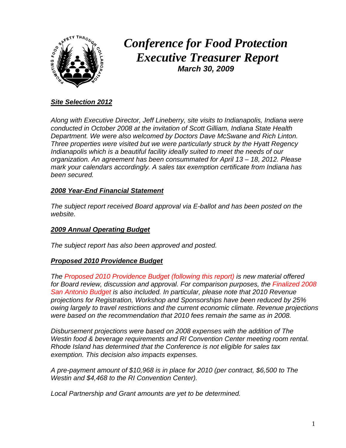

# *Conference for Food Protection Executive Treasurer Report March 30, 2009*

#### *Site Selection 2012*

*Along with Executive Director, Jeff Lineberry, site visits to Indianapolis, Indiana were conducted in October 2008 at the invitation of Scott Gilliam, Indiana State Health Department. We were also welcomed by Doctors Dave McSwane and Rich Linton. Three properties were visited but we were particularly struck by the Hyatt Regency Indianapolis which is a beautiful facility ideally suited to meet the needs of our organization. An agreement has been consummated for April 13 – 18, 2012. Please mark your calendars accordingly. A sales tax exemption certificate from Indiana has been secured.*

#### *2008 Year-End Financial Statement*

*The subject report received Board approval via E-ballot and has been posted on the website.* 

#### *2009 Annual Operating Budget*

*The subject report has also been approved and posted.* 

#### *Proposed 2010 Providence Budget*

*The Proposed 2010 Providence Budget (following this report) is new material offered for Board review, discussion and approval. For comparison purposes, the Finalized 2008 San Antonio Budget is also included. In particular, please note that 2010 Revenue projections for Registration, Workshop and Sponsorships have been reduced by 25% owing largely to travel restrictions and the current economic climate. Revenue projections were based on the recommendation that 2010 fees remain the same as in 2008.* 

*Disbursement projections were based on 2008 expenses with the addition of The Westin food & beverage requirements and RI Convention Center meeting room rental. Rhode Island has determined that the Conference is not eligible for sales tax exemption. This decision also impacts expenses.* 

*A pre-payment amount of \$10,968 is in place for 2010 (per contract, \$6,500 to The Westin and \$4,468 to the RI Convention Center).* 

*Local Partnership and Grant amounts are yet to be determined.*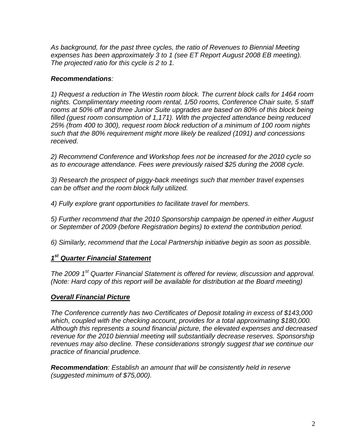*As background, for the past three cycles, the ratio of Revenues to Biennial Meeting expenses has been approximately 3 to 1 (see ET Report August 2008 EB meeting). The projected ratio for this cycle is 2 to 1.* 

#### *Recommendations:*

*1) Request a reduction in The Westin room block. The current block calls for 1464 room nights. Complimentary meeting room rental, 1/50 rooms, Conference Chair suite, 5 staff rooms at 50% off and three Junior Suite upgrades are based on 80% of this block being filled (guest room consumption of 1,171). With the projected attendance being reduced 25% (from 400 to 300), request room block reduction of a minimum of 100 room nights such that the 80% requirement might more likely be realized (1091) and concessions received.* 

*2) Recommend Conference and Workshop fees not be increased for the 2010 cycle so as to encourage attendance. Fees were previously raised \$25 during the 2008 cycle.* 

*3) Research the prospect of piggy-back meetings such that member travel expenses can be offset and the room block fully utilized.* 

*4) Fully explore grant opportunities to facilitate travel for members.* 

*5) Further recommend that the 2010 Sponsorship campaign be opened in either August or September of 2009 (before Registration begins) to extend the contribution period.* 

*6) Similarly, recommend that the Local Partnership initiative begin as soon as possible.* 

#### *1st Quarter Financial Statement*

*The 2009 1st Quarter Financial Statement is offered for review, discussion and approval. (Note: Hard copy of this report will be available for distribution at the Board meeting)* 

#### *Overall Financial Picture*

*The Conference currently has two Certificates of Deposit totaling in excess of \$143,000*  which, coupled with the checking account, provides for a total approximating \$180,000. *Although this represents a sound financial picture, the elevated expenses and decreased revenue for the 2010 biennial meeting will substantially decrease reserves. Sponsorship revenues may also decline. These considerations strongly suggest that we continue our practice of financial prudence.* 

*Recommendation: Establish an amount that will be consistently held in reserve (suggested minimum of \$75,000).*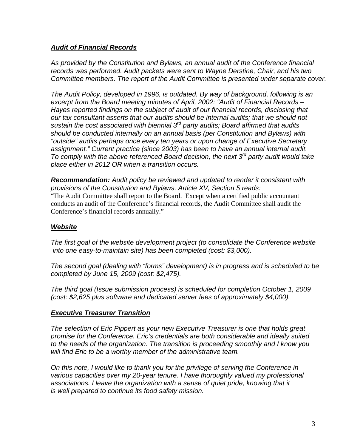#### *Audit of Financial Records*

*As provided by the Constitution and Bylaws, an annual audit of the Conference financial records was performed. Audit packets were sent to Wayne Derstine, Chair, and his two Committee members. The report of the Audit Committee is presented under separate cover.* 

*The Audit Policy, developed in 1996, is outdated. By way of background, following is an excerpt from the Board meeting minutes of April, 2002: "Audit of Financial Records – Hayes reported findings on the subject of audit of our financial records, disclosing that our tax consultant asserts that our audits should be internal audits; that we should not sustain the cost associated with biennial 3rd party audits; Board affirmed that audits should be conducted internally on an annual basis (per Constitution and Bylaws) with "outside" audits perhaps once every ten years or upon change of Executive Secretary assignment." Current practice (since 2003) has been to have an annual internal audit. To comply with the above referenced Board decision, the next 3rd party audit would take place either in 2012 OR when a transition occurs.* 

*Recommendation: Audit policy be reviewed and updated to render it consistent with provisions of the Constitution and Bylaws. Article XV, Section 5 reads: "*The Audit Committee shall report to the Board. Except when a certified public accountant conducts an audit of the Conference's financial records, the Audit Committee shall audit the Conference's financial records annually."

#### *Website*

*The first goal of the website development project (to consolidate the Conference website into one easy-to-maintain site) has been completed (cost: \$3,000).* 

*The second goal (dealing with "forms" development) is in progress and is scheduled to be completed by June 15, 2009 (cost: \$2,475).* 

*The third goal (Issue submission process) is scheduled for completion October 1, 2009 (cost: \$2,625 plus software and dedicated server fees of approximately \$4,000).* 

#### *Executive Treasurer Transition*

*The selection of Eric Pippert as your new Executive Treasurer is one that holds great promise for the Conference. Eric's credentials are both considerable and ideally suited to the needs of the organization. The transition is proceeding smoothly and I know you will find Eric to be a worthy member of the administrative team.* 

*On this note, I would like to thank you for the privilege of serving the Conference in various capacities over my 20-year tenure. I have thoroughly valued my professional associations. I leave the organization with a sense of quiet pride, knowing that it is well prepared to continue its food safety mission.*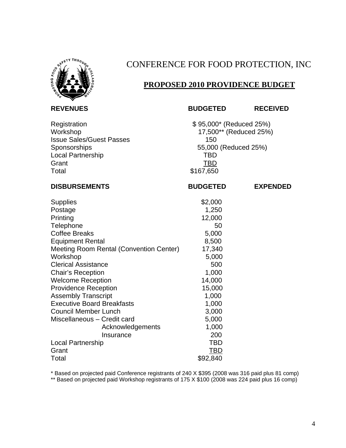

## CONFERENCE FOR FOOD PROTECTION, INC

## **PROPOSED 2010 PROVIDENCE BUDGET**

**REVENUES BUDGETED RECEIVED** 

Registration  $$ 95,000^* (Reduced 25%)$ <br>Workshop  $17,500^{**} (Reduced 25%)$  $17,500**$  (Reduced 25%) **Issue Sales/Guest Passes 150** 150 Sponsorships 55,000 (Reduced 25%) Local Partnership TBD TBD Grant **TBD** Total \$167,650

| <b>DISBURSEMENTS</b>                    | <b>BUDGETED</b> | <b>EXPENDED</b> |
|-----------------------------------------|-----------------|-----------------|
| <b>Supplies</b>                         | \$2,000         |                 |
| Postage                                 | 1,250           |                 |
| Printing                                | 12,000          |                 |
| Telephone                               | 50              |                 |
| <b>Coffee Breaks</b>                    | 5,000           |                 |
| <b>Equipment Rental</b>                 | 8,500           |                 |
| Meeting Room Rental (Convention Center) | 17,340          |                 |
| Workshop                                | 5,000           |                 |
| <b>Clerical Assistance</b>              | 500             |                 |
| Chair's Reception                       | 1,000           |                 |
| <b>Welcome Reception</b>                | 14,000          |                 |
| <b>Providence Reception</b>             | 15,000          |                 |
| <b>Assembly Transcript</b>              | 1,000           |                 |
| <b>Executive Board Breakfasts</b>       | 1,000           |                 |
| <b>Council Member Lunch</b>             | 3,000           |                 |
| Miscellaneous - Credit card             | 5,000           |                 |
| Acknowledgements                        | 1,000           |                 |
| Insurance                               | 200             |                 |
| Local Partnership                       | TBD             |                 |
| Grant                                   | TBD             |                 |
| Total                                   | \$92,840        |                 |

\* Based on projected paid Conference registrants of 240 X \$395 (2008 was 316 paid plus 81 comp)

\*\* Based on projected paid Workshop registrants of 175 X \$100 (2008 was 224 paid plus 16 comp)